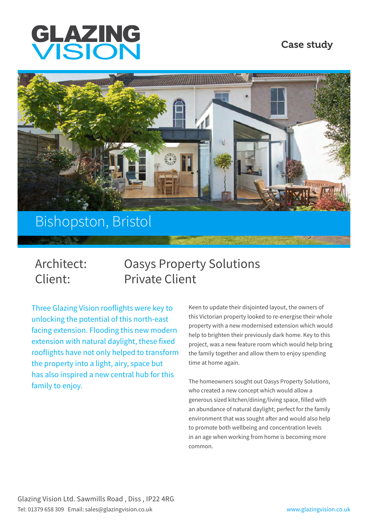

### Case study



# Bishopston, Bristol

# Architect: Oasys Property Solutions Client: Private Client

Three Glazing Vision rooflights were key to unlocking the potential of this north-east facing extension. Flooding this new modern extension with natural daylight, these fixed rooflights have not only helped to transform the property into a light, airy, space but has also inspired a new central hub for this family to enjoy.

Keen to update their disjointed layout, the owners of this Victorian property looked to re-energise their whole property with a new modernised extension which would help to brighten their previously dark home. Key to this project, was a new feature room which would help bring the family together and allow them to enjoy spending time at home again.

The homeowners sought out Oasys Property Solutions, who created a new concept which would allow a generous sized kitchen/dining/living space, filled with an abundance of natural daylight; perfect for the family environment that was sought after and would also help to promote both wellbeing and concentration levels in an age when working from home is becoming more common.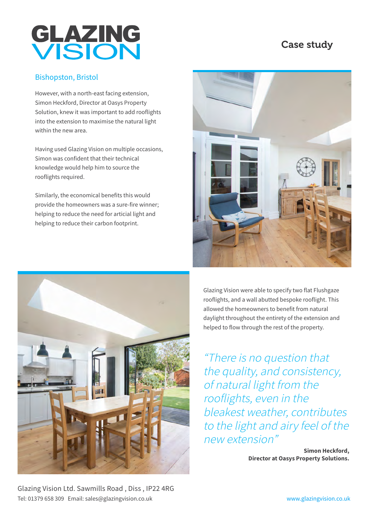# GLAZING

## Case study

#### Bishopston, Bristol

However, with a north-east facing extension, Simon Heckford, Director at Oasys Property Solution, knew it was important to add rooflights into the extension to maximise the natural light within the new area.

Having used Glazing Vision on multiple occasions, Simon was confident that their technical knowledge would help him to source the rooflights required.

Similarly, the economical benefits this would provide the homeowners was a sure-fire winner; helping to reduce the need for articial light and helping to reduce their carbon footprint.



Glazing Vision were able to specify two flat Flushgaze rooflights, and a wall abutted bespoke rooflight. This allowed the homeowners to benefit from natural daylight throughout the entirety of the extension and helped to flow through the rest of the property.

"There is no question that the quality, and consistency, of natural light from the rooflights, even in the bleakest weather, contributes to the light and airy feel of the new extension"

> **Simon Heckford, Director at Oasys Property Solutions.**

Glazing Vision Ltd. Sawmills Road , Diss , IP22 4RG Tel: 01379 658 309 Email: sales@glazingvision.co.uk www.glazingvision.co.uk